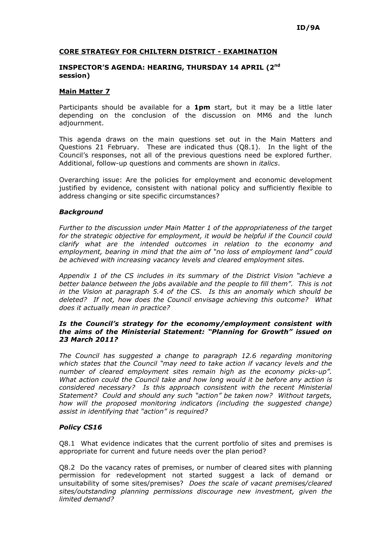# CORE STRATEGY FOR CHILTERN DISTRICT - EXAMINATION

#### INSPECTOR'S AGENDA: HEARING, THURSDAY 14 APRIL (2nd session)

## Main Matter 7

Participants should be available for a 1pm start, but it may be a little later depending on the conclusion of the discussion on MM6 and the lunch adjournment.

This agenda draws on the main questions set out in the Main Matters and Questions 21 February. These are indicated thus (Q8.1). In the light of the Council's responses, not all of the previous questions need be explored further. Additional, follow-up questions and comments are shown in *italics*.

Overarching issue: Are the policies for employment and economic development justified by evidence, consistent with national policy and sufficiently flexible to address changing or site specific circumstances?

#### **Background**

Further to the discussion under Main Matter 1 of the appropriateness of the target for the strategic objective for employment, it would be helpful if the Council could clarify what are the intended outcomes in relation to the economy and employment, bearing in mind that the aim of "no loss of employment land" could be achieved with increasing vacancy levels and cleared employment sites.

Appendix 1 of the CS includes in its summary of the District Vision "achieve a better balance between the jobs available and the people to fill them". This is not in the Vision at paragraph 5.4 of the CS. Is this an anomaly which should be deleted? If not, how does the Council envisage achieving this outcome? What does it actually mean in practice?

## Is the Council's strategy for the economy/employment consistent with the aims of the Ministerial Statement: "Planning for Growth" issued on 23 March 2011?

The Council has suggested a change to paragraph 12.6 regarding monitoring which states that the Council "may need to take action if vacancy levels and the number of cleared employment sites remain high as the economy picks-up". What action could the Council take and how long would it be before any action is considered necessary? Is this approach consistent with the recent Ministerial Statement? Could and should any such "action" be taken now? Without targets, how will the proposed monitoring indicators (including the suggested change) assist in identifying that "action" is required?

## Policy CS16

Q8.1 What evidence indicates that the current portfolio of sites and premises is appropriate for current and future needs over the plan period?

Q8.2 Do the vacancy rates of premises, or number of cleared sites with planning permission for redevelopment not started suggest a lack of demand or unsuitability of some sites/premises? Does the scale of vacant premises/cleared sites/outstanding planning permissions discourage new investment, given the limited demand?